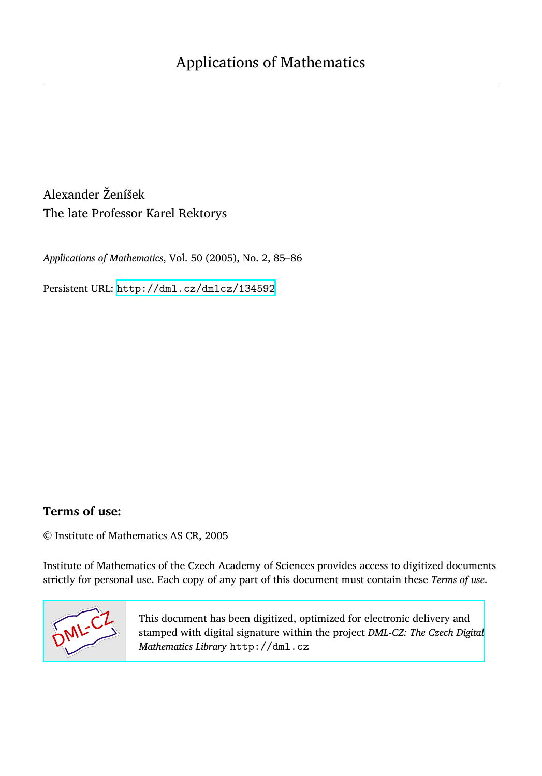Alexander Ženíšek The late Professor Karel Rektorys

*Applications of Mathematics*, Vol. 50 (2005), No. 2, 85–86

Persistent URL: <http://dml.cz/dmlcz/134592>

## **Terms of use:**

© Institute of Mathematics AS CR, 2005

Institute of Mathematics of the Czech Academy of Sciences provides access to digitized documents strictly for personal use. Each copy of any part of this document must contain these *Terms of use*.



[This document has been digitized, optimized for electronic delivery and](http://dml.cz) stamped with digital signature within the project *DML-CZ: The Czech Digital Mathematics Library* http://dml.cz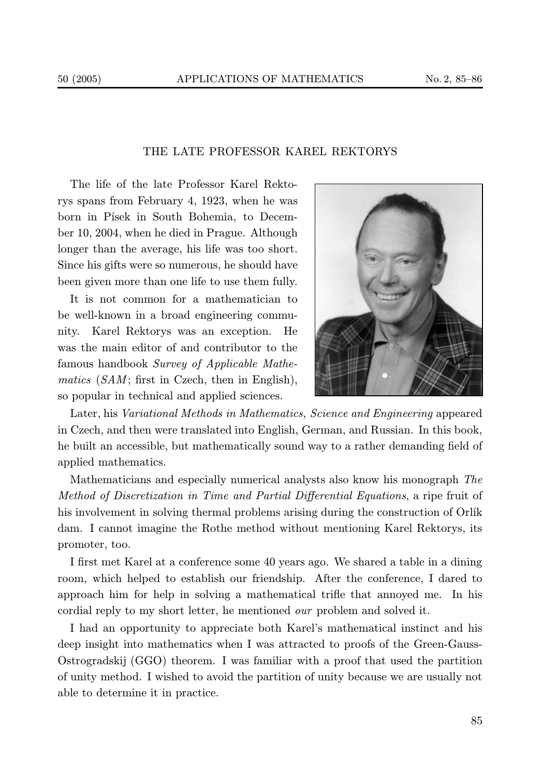## THE LATE PROFESSOR KAREL REKTORYS

The life of the late Professor Karel Rektorys spans from February 4, 1923, when he was born in Písek in South Bohemia, to December 10, 2004, when he died in Prague. Although longer than the average, his life was too short. Since his gifts were so numerous, he should have been given more than one life to use them fully.

It is not common for a mathematician to be well-known in a broad engineering community. Karel Rektorys was an exception. He was the main editor of and contributor to the famous handbook Survey of Applicable Mathematics  $(SAM;$  first in Czech, then in English), so popular in technical and applied sciences.



Later, his Variational Methods in Mathematics, Science and Engineering appeared in Czech, and then were translated into English, German, and Russian. In this book, he built an accessible, but mathematically sound way to a rather demanding field of applied mathematics.

Mathematicians and especially numerical analysts also know his monograph The Method of Discretization in Time and Partial Differential Equations, a ripe fruit of his involvement in solving thermal problems arising during the construction of Orlík dam. I cannot imagine the Rothe method without mentioning Karel Rektorys, its promoter, too.

I first met Karel at a conference some 40 years ago. We shared a table in a dining room, which helped to establish our friendship. After the conference, I dared to approach him for help in solving a mathematical trifle that annoyed me. In his cordial reply to my short letter, he mentioned our problem and solved it.

I had an opportunity to appreciate both Karel's mathematical instinct and his deep insight into mathematics when I was attracted to proofs of the Green-Gauss-Ostrogradskij (GGO) theorem. I was familiar with a proof that used the partition of unity method. I wished to avoid the partition of unity because we are usually not able to determine it in practice.